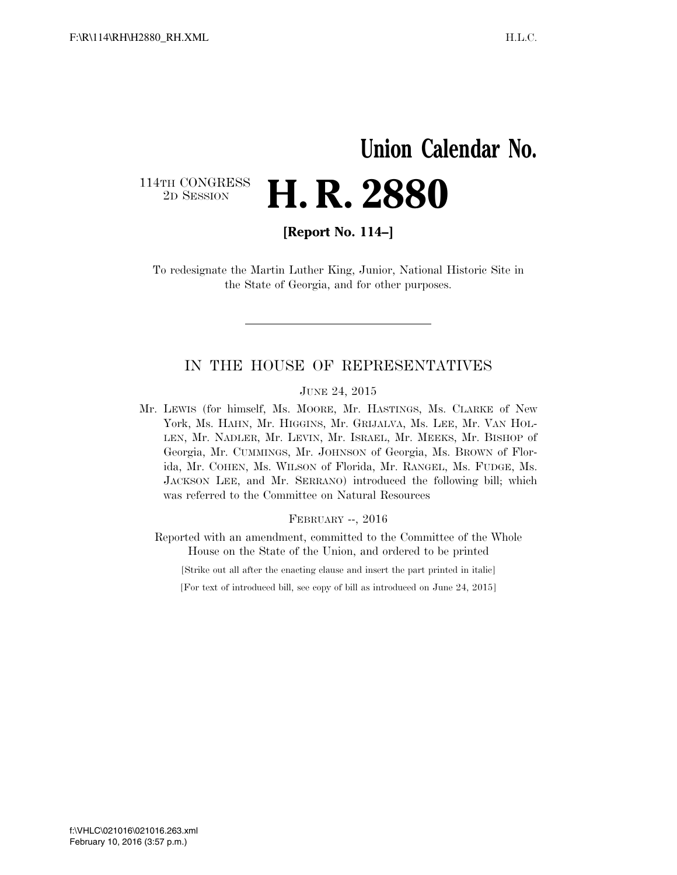## **Union Calendar No.**  114TH CONGRESS<br>2D SESSION 2D SESSION **H. R. 2880**

**[Report No. 114–]** 

To redesignate the Martin Luther King, Junior, National Historic Site in the State of Georgia, and for other purposes.

### IN THE HOUSE OF REPRESENTATIVES

#### JUNE 24, 2015

Mr. LEWIS (for himself, Ms. MOORE, Mr. HASTINGS, Ms. CLARKE of New York, Ms. HAHN, Mr. HIGGINS, Mr. GRIJALVA, Ms. LEE, Mr. VAN HOL-LEN, Mr. NADLER, Mr. LEVIN, Mr. ISRAEL, Mr. MEEKS, Mr. BISHOP of Georgia, Mr. CUMMINGS, Mr. JOHNSON of Georgia, Ms. BROWN of Florida, Mr. COHEN, Ms. WILSON of Florida, Mr. RANGEL, Ms. FUDGE, Ms. JACKSON LEE, and Mr. SERRANO) introduced the following bill; which was referred to the Committee on Natural Resources

#### FEBRUARY --, 2016

Reported with an amendment, committed to the Committee of the Whole House on the State of the Union, and ordered to be printed

[Strike out all after the enacting clause and insert the part printed in italic]

[For text of introduced bill, see copy of bill as introduced on June 24, 2015]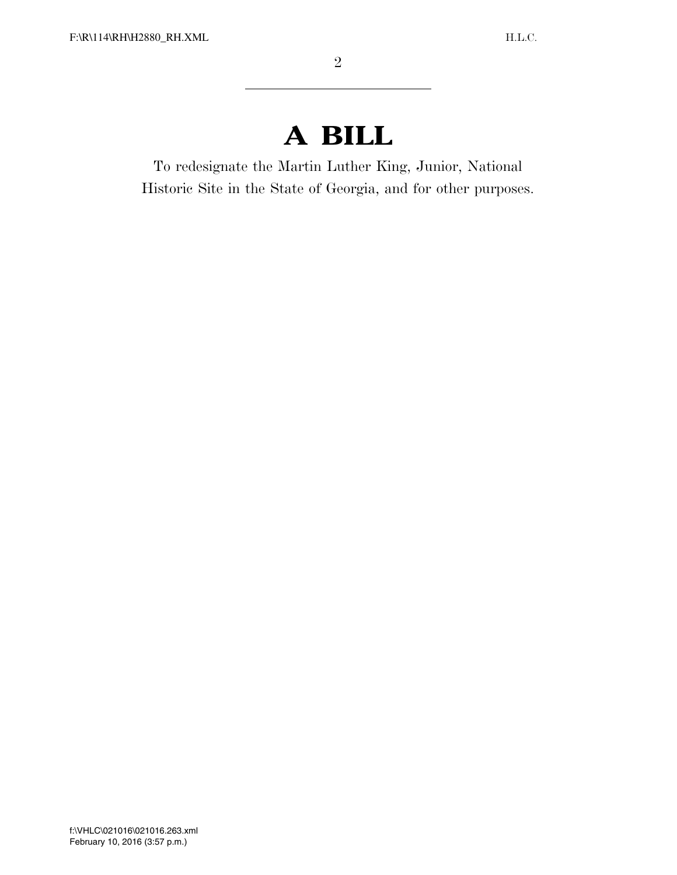# **A BILL**

To redesignate the Martin Luther King, Junior, National Historic Site in the State of Georgia, and for other purposes.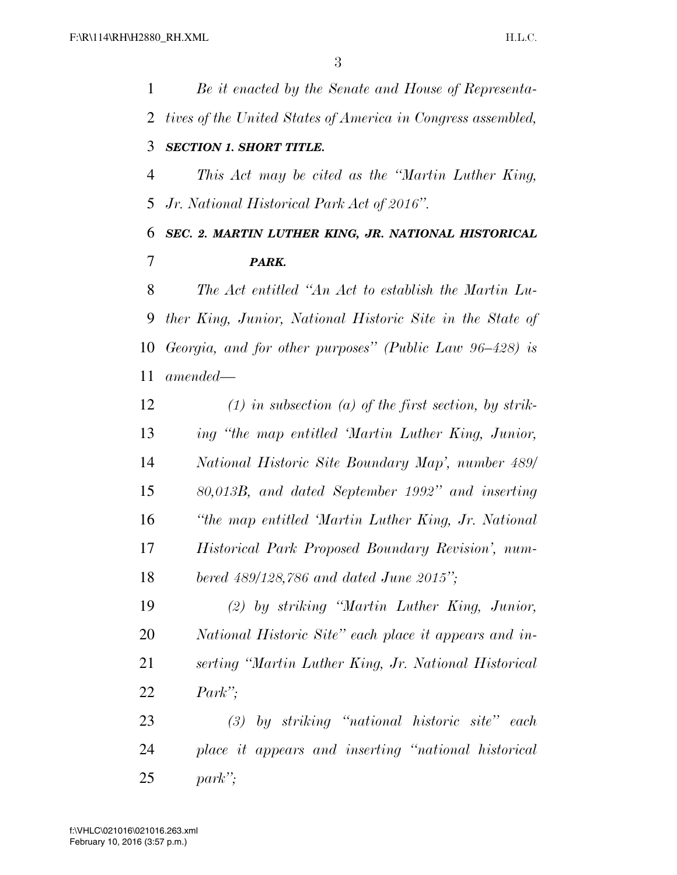| 1              | Be it enacted by the Senate and House of Representa-         |
|----------------|--------------------------------------------------------------|
| 2              | tives of the United States of America in Congress assembled, |
| 3              | <b>SECTION 1. SHORT TITLE.</b>                               |
| $\overline{4}$ | This Act may be cited as the "Martin Luther King,            |
| 5              | Jr. National Historical Park Act of 2016".                   |
| 6              | SEC. 2. MARTIN LUTHER KING, JR. NATIONAL HISTORICAL          |
| 7              | PARK.                                                        |
| 8              | The Act entitled "An Act to establish the Martin Lu-         |
| 9              | ther King, Junior, National Historic Site in the State of    |
| 10             | Georgia, and for other purposes" (Public Law 96–428) is      |
| 11             | $amended -$                                                  |
| 12             | $(1)$ in subsection $(a)$ of the first section, by strik-    |
| 13             | ing "the map entitled 'Martin Luther King, Junior,           |
| 14             | National Historic Site Boundary Map', number 489/            |
| 15             | 80,013B, and dated September 1992" and inserting             |
| 16             | "the map entitled 'Martin Luther King, Jr. National          |
| 17             | Historical Park Proposed Boundary Revision', num-            |
| 18             | bered 489/128,786 and dated June 2015";                      |
| 19             | (2) by striking "Martin Luther King, Junior,                 |
| 20             | National Historic Site" each place it appears and in-        |
| 21             | serting "Martin Luther King, Jr. National Historical         |
| 22             | $Park$ ";                                                    |
| 23             | by striking "national historic site" each<br>(3)             |
| 24             | place it appears and inserting "national historical          |
| 25             | $park$ ";                                                    |